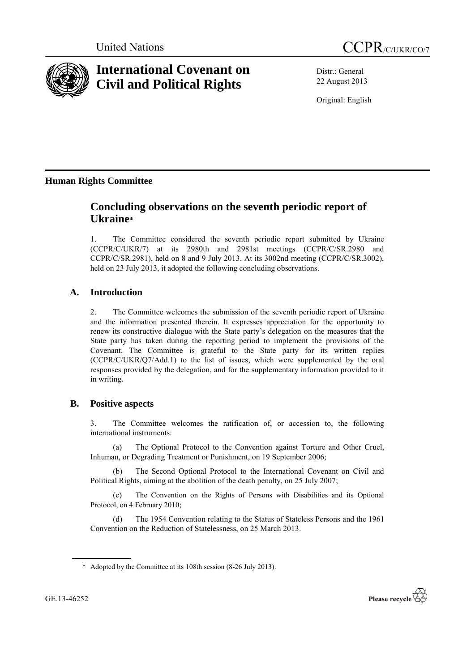



# **International Covenant on Civil and Political Rights**

Distr.: General 22 August 2013

Original: English

## **Human Rights Committee**

## **Concluding observations on the seventh periodic report of Ukraine\***

1. The Committee considered the seventh periodic report submitted by Ukraine (CCPR/C/UKR/7) at its 2980th and 2981st meetings (CCPR/C/SR.2980 and CCPR/C/SR.2981), held on 8 and 9 July 2013. At its 3002nd meeting (CCPR/C/SR.3002), held on 23 July 2013, it adopted the following concluding observations.

## **A. Introduction**

2. The Committee welcomes the submission of the seventh periodic report of Ukraine and the information presented therein. It expresses appreciation for the opportunity to renew its constructive dialogue with the State party's delegation on the measures that the State party has taken during the reporting period to implement the provisions of the Covenant. The Committee is grateful to the State party for its written replies (CCPR/C/UKR/Q7/Add.1) to the list of issues, which were supplemented by the oral responses provided by the delegation, and for the supplementary information provided to it in writing.

## **B. Positive aspects**

3. The Committee welcomes the ratification of, or accession to, the following international instruments:

(a) The Optional Protocol to the Convention against Torture and Other Cruel, Inhuman, or Degrading Treatment or Punishment, on 19 September 2006;

(b) The Second Optional Protocol to the International Covenant on Civil and Political Rights, aiming at the abolition of the death penalty, on 25 July 2007;

(c) The Convention on the Rights of Persons with Disabilities and its Optional Protocol, on 4 February 2010;

(d) The 1954 Convention relating to the Status of Stateless Persons and the 1961 Convention on the Reduction of Statelessness, on 25 March 2013.

<sup>\*</sup> Adopted by the Committee at its 108th session (8-26 July 2013).



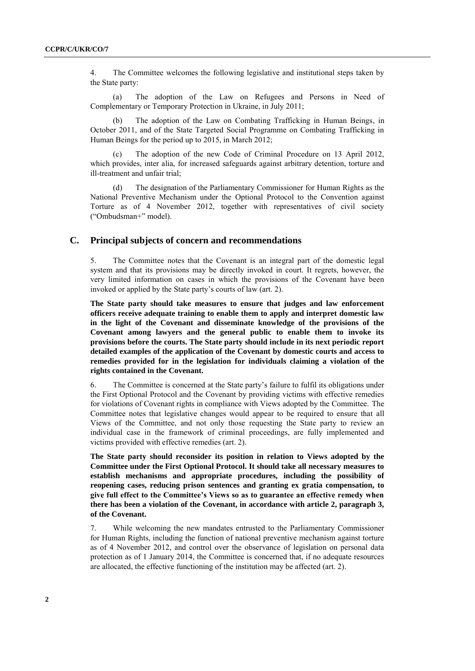4. The Committee welcomes the following legislative and institutional steps taken by the State party:

(a) The adoption of the Law on Refugees and Persons in Need of Complementary or Temporary Protection in Ukraine, in July 2011;

The adoption of the Law on Combating Trafficking in Human Beings, in October 2011, and of the State Targeted Social Programme on Combating Trafficking in Human Beings for the period up to 2015, in March 2012;

The adoption of the new Code of Criminal Procedure on 13 April 2012, which provides, inter alia, for increased safeguards against arbitrary detention, torture and ill-treatment and unfair trial;

(d) The designation of the Parliamentary Commissioner for Human Rights as the National Preventive Mechanism under the Optional Protocol to the Convention against Torture as of 4 November 2012, together with representatives of civil society ("Ombudsman+" model).

#### **C. Principal subjects of concern and recommendations**

5. The Committee notes that the Covenant is an integral part of the domestic legal system and that its provisions may be directly invoked in court. It regrets, however, the very limited information on cases in which the provisions of the Covenant have been invoked or applied by the State party's courts of law (art. 2).

**The State party should take measures to ensure that judges and law enforcement officers receive adequate training to enable them to apply and interpret domestic law in the light of the Covenant and disseminate knowledge of the provisions of the Covenant among lawyers and the general public to enable them to invoke its provisions before the courts. The State party should include in its next periodic report detailed examples of the application of the Covenant by domestic courts and access to remedies provided for in the legislation for individuals claiming a violation of the rights contained in the Covenant.**

6. The Committee is concerned at the State party's failure to fulfil its obligations under the First Optional Protocol and the Covenant by providing victims with effective remedies for violations of Covenant rights in compliance with Views adopted by the Committee. The Committee notes that legislative changes would appear to be required to ensure that all Views of the Committee, and not only those requesting the State party to review an individual case in the framework of criminal proceedings, are fully implemented and victims provided with effective remedies (art. 2).

**The State party should reconsider its position in relation to Views adopted by the Committee under the First Optional Protocol. It should take all necessary measures to establish mechanisms and appropriate procedures, including the possibility of reopening cases, reducing prison sentences and granting ex gratia compensation, to give full effect to the Committee's Views so as to guarantee an effective remedy when there has been a violation of the Covenant, in accordance with article 2, paragraph 3, of the Covenant.**

7. While welcoming the new mandates entrusted to the Parliamentary Commissioner for Human Rights, including the function of national preventive mechanism against torture as of 4 November 2012, and control over the observance of legislation on personal data protection as of 1 January 2014, the Committee is concerned that, if no adequate resources are allocated, the effective functioning of the institution may be affected (art. 2).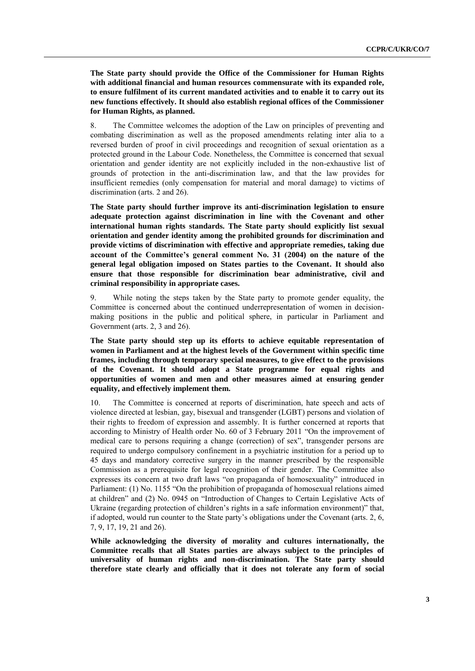**The State party should provide the Office of the Commissioner for Human Rights with additional financial and human resources commensurate with its expanded role, to ensure fulfilment of its current mandated activities and to enable it to carry out its new functions effectively. It should also establish regional offices of the Commissioner for Human Rights, as planned.**

8. The Committee welcomes the adoption of the Law on principles of preventing and combating discrimination as well as the proposed amendments relating inter alia to a reversed burden of proof in civil proceedings and recognition of sexual orientation as a protected ground in the Labour Code. Nonetheless, the Committee is concerned that sexual orientation and gender identity are not explicitly included in the non-exhaustive list of grounds of protection in the anti-discrimination law, and that the law provides for insufficient remedies (only compensation for material and moral damage) to victims of discrimination (arts. 2 and 26).

**The State party should further improve its anti-discrimination legislation to ensure adequate protection against discrimination in line with the Covenant and other international human rights standards. The State party should explicitly list sexual orientation and gender identity among the prohibited grounds for discrimination and provide victims of discrimination with effective and appropriate remedies, taking due account of the Committee's general comment No. 31 (2004) on the nature of the general legal obligation imposed on States parties to the Covenant. It should also ensure that those responsible for discrimination bear administrative, civil and criminal responsibility in appropriate cases.**

9. While noting the steps taken by the State party to promote gender equality, the Committee is concerned about the continued underrepresentation of women in decisionmaking positions in the public and political sphere, in particular in Parliament and Government (arts. 2, 3 and 26).

**The State party should step up its efforts to achieve equitable representation of women in Parliament and at the highest levels of the Government within specific time frames, including through temporary special measures, to give effect to the provisions of the Covenant. It should adopt a State programme for equal rights and opportunities of women and men and other measures aimed at ensuring gender equality, and effectively implement them.**

10. The Committee is concerned at reports of discrimination, hate speech and acts of violence directed at lesbian, gay, bisexual and transgender (LGBT) persons and violation of their rights to freedom of expression and assembly. It is further concerned at reports that according to Ministry of Health order No. 60 of 3 February 2011 "On the improvement of medical care to persons requiring a change (correction) of sex", transgender persons are required to undergo compulsory confinement in a psychiatric institution for a period up to 45 days and mandatory corrective surgery in the manner prescribed by the responsible Commission as a prerequisite for legal recognition of their gender. The Committee also expresses its concern at two draft laws "on propaganda of homosexuality" introduced in Parliament: (1) No. 1155 "On the prohibition of propaganda of homosexual relations aimed at children" and (2) No. 0945 on "Introduction of Changes to Certain Legislative Acts of Ukraine (regarding protection of children's rights in a safe information environment)" that, if adopted, would run counter to the State party's obligations under the Covenant (arts. 2, 6, 7, 9, 17, 19, 21 and 26).

**While acknowledging the diversity of morality and cultures internationally, the Committee recalls that all States parties are always subject to the principles of universality of human rights and non-discrimination. The State party should therefore state clearly and officially that it does not tolerate any form of social**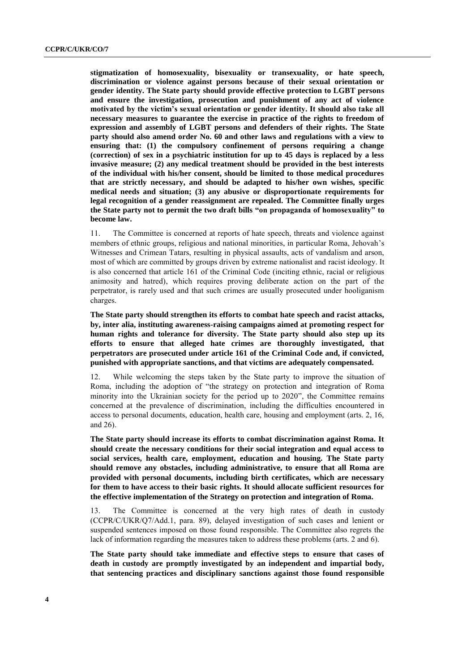**stigmatization of homosexuality, bisexuality or transexuality, or hate speech, discrimination or violence against persons because of their sexual orientation or gender identity. The State party should provide effective protection to LGBT persons and ensure the investigation, prosecution and punishment of any act of violence motivated by the victim's sexual orientation or gender identity. It should also take all necessary measures to guarantee the exercise in practice of the rights to freedom of expression and assembly of LGBT persons and defenders of their rights. The State party should also amend order No. 60 and other laws and regulations with a view to ensuring that: (1) the compulsory confinement of persons requiring a change (correction) of sex in a psychiatric institution for up to 45 days is replaced by a less invasive measure; (2) any medical treatment should be provided in the best interests of the individual with his/her consent, should be limited to those medical procedures that are strictly necessary, and should be adapted to his/her own wishes, specific medical needs and situation; (3) any abusive or disproportionate requirements for legal recognition of a gender reassignment are repealed. The Committee finally urges the State party not to permit the two draft bills "on propaganda of homosexuality" to become law.**

11. The Committee is concerned at reports of hate speech, threats and violence against members of ethnic groups, religious and national minorities, in particular Roma, Jehovah's Witnesses and Crimean Tatars, resulting in physical assaults, acts of vandalism and arson, most of which are committed by groups driven by extreme nationalist and racist ideology. It is also concerned that article 161 of the Criminal Code (inciting ethnic, racial or religious animosity and hatred), which requires proving deliberate action on the part of the perpetrator, is rarely used and that such crimes are usually prosecuted under hooliganism charges.

**The State party should strengthen its efforts to combat hate speech and racist attacks, by, inter alia, instituting awareness-raising campaigns aimed at promoting respect for human rights and tolerance for diversity. The State party should also step up its efforts to ensure that alleged hate crimes are thoroughly investigated, that perpetrators are prosecuted under article 161 of the Criminal Code and, if convicted, punished with appropriate sanctions, and that victims are adequately compensated.** 

12. While welcoming the steps taken by the State party to improve the situation of Roma, including the adoption of "the strategy on protection and integration of Roma minority into the Ukrainian society for the period up to 2020", the Committee remains concerned at the prevalence of discrimination, including the difficulties encountered in access to personal documents, education, health care, housing and employment (arts. 2, 16, and 26).

**The State party should increase its efforts to combat discrimination against Roma. It should create the necessary conditions for their social integration and equal access to social services, health care, employment, education and housing. The State party should remove any obstacles, including administrative, to ensure that all Roma are provided with personal documents, including birth certificates, which are necessary for them to have access to their basic rights. It should allocate sufficient resources for the effective implementation of the Strategy on protection and integration of Roma.**

13. The Committee is concerned at the very high rates of death in custody (CCPR/C/UKR/Q7/Add.1, para. 89), delayed investigation of such cases and lenient or suspended sentences imposed on those found responsible. The Committee also regrets the lack of information regarding the measures taken to address these problems (arts. 2 and 6).

**The State party should take immediate and effective steps to ensure that cases of death in custody are promptly investigated by an independent and impartial body, that sentencing practices and disciplinary sanctions against those found responsible**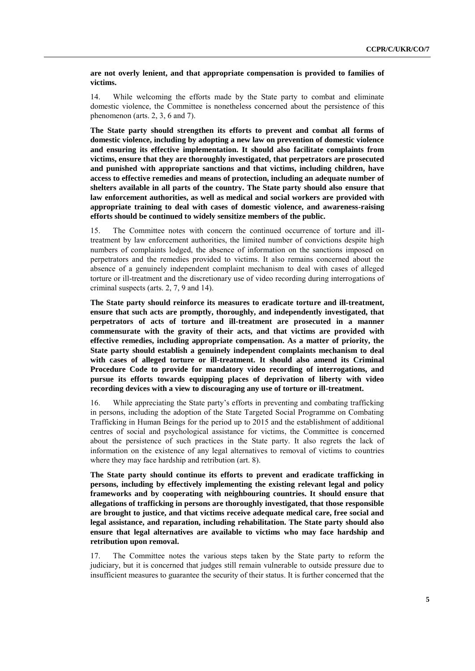**are not overly lenient, and that appropriate compensation is provided to families of victims.**

14. While welcoming the efforts made by the State party to combat and eliminate domestic violence, the Committee is nonetheless concerned about the persistence of this phenomenon (arts. 2, 3, 6 and 7).

**The State party should strengthen its efforts to prevent and combat all forms of domestic violence, including by adopting a new law on prevention of domestic violence and ensuring its effective implementation. It should also facilitate complaints from victims, ensure that they are thoroughly investigated, that perpetrators are prosecuted and punished with appropriate sanctions and that victims, including children, have access to effective remedies and means of protection, including an adequate number of shelters available in all parts of the country. The State party should also ensure that law enforcement authorities, as well as medical and social workers are provided with appropriate training to deal with cases of domestic violence, and awareness-raising efforts should be continued to widely sensitize members of the public.**

15. The Committee notes with concern the continued occurrence of torture and illtreatment by law enforcement authorities, the limited number of convictions despite high numbers of complaints lodged, the absence of information on the sanctions imposed on perpetrators and the remedies provided to victims. It also remains concerned about the absence of a genuinely independent complaint mechanism to deal with cases of alleged torture or ill-treatment and the discretionary use of video recording during interrogations of criminal suspects (arts. 2, 7, 9 and 14).

**The State party should reinforce its measures to eradicate torture and ill-treatment, ensure that such acts are promptly, thoroughly, and independently investigated, that perpetrators of acts of torture and ill-treatment are prosecuted in a manner commensurate with the gravity of their acts, and that victims are provided with effective remedies, including appropriate compensation. As a matter of priority, the State party should establish a genuinely independent complaints mechanism to deal with cases of alleged torture or ill-treatment. It should also amend its Criminal Procedure Code to provide for mandatory video recording of interrogations, and pursue its efforts towards equipping places of deprivation of liberty with video recording devices with a view to discouraging any use of torture or ill-treatment.** 

16. While appreciating the State party's efforts in preventing and combating trafficking in persons, including the adoption of the State Targeted Social Programme on Combating Trafficking in Human Beings for the period up to 2015 and the establishment of additional centres of social and psychological assistance for victims, the Committee is concerned about the persistence of such practices in the State party. It also regrets the lack of information on the existence of any legal alternatives to removal of victims to countries where they may face hardship and retribution (art. 8).

**The State party should continue its efforts to prevent and eradicate trafficking in persons, including by effectively implementing the existing relevant legal and policy frameworks and by cooperating with neighbouring countries. It should ensure that allegations of trafficking in persons are thoroughly investigated, that those responsible are brought to justice, and that victims receive adequate medical care, free social and legal assistance, and reparation, including rehabilitation. The State party should also ensure that legal alternatives are available to victims who may face hardship and retribution upon removal.**

17. The Committee notes the various steps taken by the State party to reform the judiciary, but it is concerned that judges still remain vulnerable to outside pressure due to insufficient measures to guarantee the security of their status. It is further concerned that the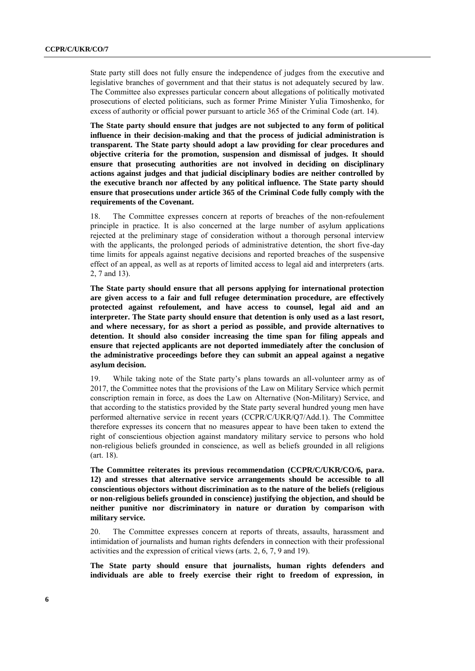State party still does not fully ensure the independence of judges from the executive and legislative branches of government and that their status is not adequately secured by law. The Committee also expresses particular concern about allegations of politically motivated prosecutions of elected politicians, such as former Prime Minister Yulia Timoshenko, for excess of authority or official power pursuant to article 365 of the Criminal Code (art. 14).

**The State party should ensure that judges are not subjected to any form of political influence in their decision-making and that the process of judicial administration is transparent. The State party should adopt a law providing for clear procedures and objective criteria for the promotion, suspension and dismissal of judges. It should ensure that prosecuting authorities are not involved in deciding on disciplinary actions against judges and that judicial disciplinary bodies are neither controlled by the executive branch nor affected by any political influence. The State party should ensure that prosecutions under article 365 of the Criminal Code fully comply with the requirements of the Covenant.**

18. The Committee expresses concern at reports of breaches of the non-refoulement principle in practice. It is also concerned at the large number of asylum applications rejected at the preliminary stage of consideration without a thorough personal interview with the applicants, the prolonged periods of administrative detention, the short five-day time limits for appeals against negative decisions and reported breaches of the suspensive effect of an appeal, as well as at reports of limited access to legal aid and interpreters (arts. 2, 7 and 13).

**The State party should ensure that all persons applying for international protection are given access to a fair and full refugee determination procedure, are effectively protected against refoulement, and have access to counsel, legal aid and an interpreter. The State party should ensure that detention is only used as a last resort, and where necessary, for as short a period as possible, and provide alternatives to detention. It should also consider increasing the time span for filing appeals and ensure that rejected applicants are not deported immediately after the conclusion of the administrative proceedings before they can submit an appeal against a negative asylum decision.** 

19. While taking note of the State party's plans towards an all-volunteer army as of 2017, the Committee notes that the provisions of the Law on Military Service which permit conscription remain in force, as does the Law on Alternative (Non-Military) Service, and that according to the statistics provided by the State party several hundred young men have performed alternative service in recent years (CCPR/C/UKR/Q7/Add.1). The Committee therefore expresses its concern that no measures appear to have been taken to extend the right of conscientious objection against mandatory military service to persons who hold non-religious beliefs grounded in conscience, as well as beliefs grounded in all religions (art. 18).

**The Committee reiterates its previous recommendation (CCPR/C/UKR/CO/6, para. 12) and stresses that alternative service arrangements should be accessible to all conscientious objectors without discrimination as to the nature of the beliefs (religious or non-religious beliefs grounded in conscience) justifying the objection, and should be neither punitive nor discriminatory in nature or duration by comparison with military service.** 

20. The Committee expresses concern at reports of threats, assaults, harassment and intimidation of journalists and human rights defenders in connection with their professional activities and the expression of critical views (arts. 2, 6, 7, 9 and 19).

**The State party should ensure that journalists, human rights defenders and individuals are able to freely exercise their right to freedom of expression, in**